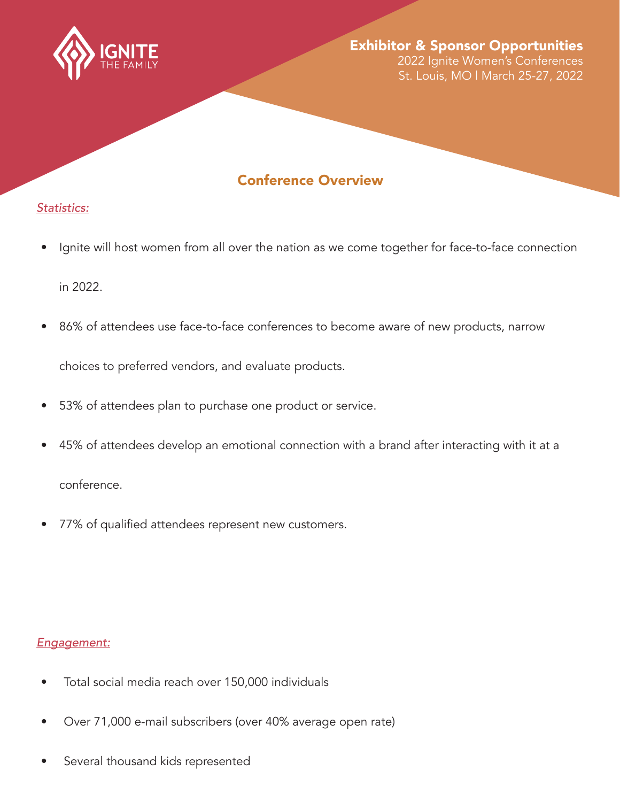

### Exhibitor & Sponsor Opportunities 2022 Ignite Women's Conferences

St. Louis, MO | March 25-27, 2022

# Conference Overview

## *Statistics:*

- Ignite will host women from all over the nation as we come together for face-to-face connection in 2022.
- 86% of attendees use face-to-face conferences to become aware of new products, narrow

choices to preferred vendors, and evaluate products.

- 53% of attendees plan to purchase one product or service.
- 45% of attendees develop an emotional connection with a brand after interacting with it at a conference.
- 77% of qualified attendees represent new customers.

## *Engagement:*

- Total social media reach over 150,000 individuals
- Over 71,000 e-mail subscribers (over 40% average open rate)
- Several thousand kids represented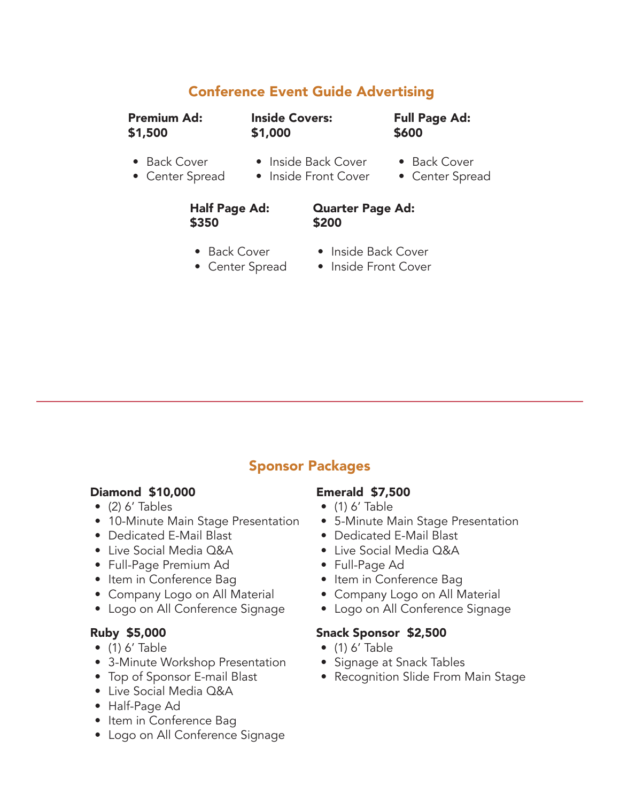# Conference Event Guide Advertising

Premium Ad: \$1,500

Inside Covers: \$1,000

Full Page Ad: \$600

- Back Cover
- Inside Back Cover
- Back Cover
- Center Spread
- Inside Front Cover
- Center Spread

### Half Page Ad: \$350

#### Quarter Page Ad: \$200

- Back Cover
- Center Spread
- Inside Back Cover
- Inside Front Cover

# Sponsor Packages

## Diamond \$10,000

- $\bullet$  (2) 6' Tables
- 10-Minute Main Stage Presentation
- Dedicated E-Mail Blast
- Live Social Media Q&A
- Full-Page Premium Ad
- Item in Conference Bag
- Company Logo on All Material
- Logo on All Conference Signage

## Ruby \$5,000

- $\bullet$  (1) 6' Table
- 3-Minute Workshop Presentation
- Top of Sponsor E-mail Blast
- Live Social Media Q&A
- Half-Page Ad
- Item in Conference Bag
- Logo on All Conference Signage

## Emerald \$7,500

- $\bullet$  (1) 6' Table
- 5-Minute Main Stage Presentation
- Dedicated E-Mail Blast
- Live Social Media Q&A
- Full-Page Ad
- Item in Conference Bag
- Company Logo on All Material
- Logo on All Conference Signage

### Snack Sponsor \$2,500

- $\bullet$  (1) 6' Table
- Signage at Snack Tables
- Recognition Slide From Main Stage